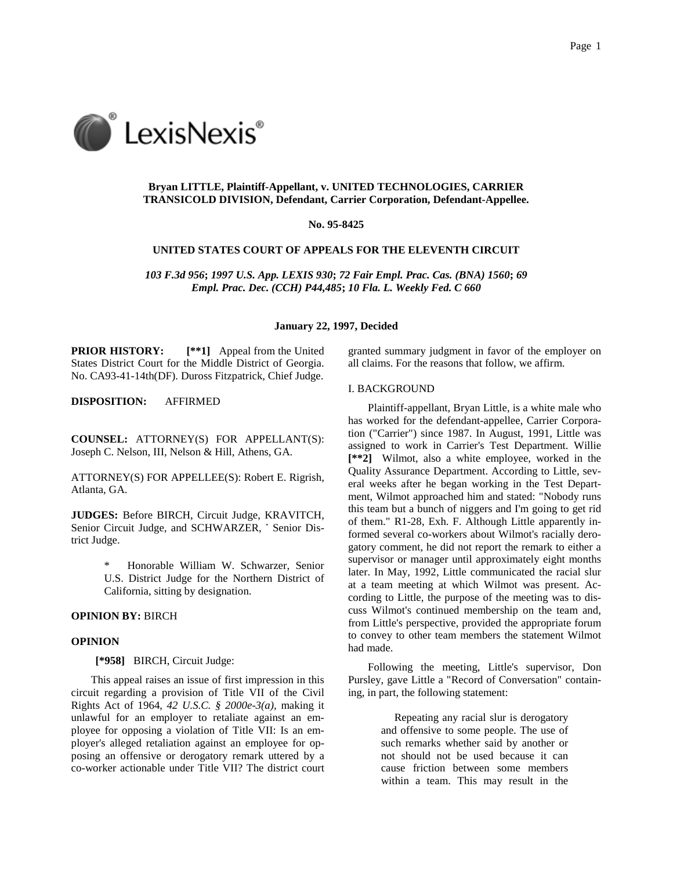

# **Bryan LITTLE, Plaintiff-Appellant, v. UNITED TECHNOLOGIES, CARRIER TRANSICOLD DIVISION, Defendant, Carrier Corporation, Defendant-Appellee.**

#### **No. 95-8425**

## **UNITED STATES COURT OF APPEALS FOR THE ELEVENTH CIRCUIT**

*103 F.3d 956***;** *1997 U.S. App. LEXIS 930***;** *72 Fair Empl. Prac. Cas. (BNA) 1560***;** *69 Empl. Prac. Dec. (CCH) P44,485***;** *10 Fla. L. Weekly Fed. C 660*

# **January 22, 1997, Decided**

**PRIOR HISTORY: [\*\*1]** Appeal from the United States District Court for the Middle District of Georgia. No. CA93-41-14th(DF). Duross Fitzpatrick, Chief Judge.

**DISPOSITION:** AFFIRMED

**COUNSEL:** ATTORNEY(S) FOR APPELLANT(S): Joseph C. Nelson, III, Nelson & Hill, Athens, GA.

ATTORNEY(S) FOR APPELLEE(S): Robert E. Rigrish, Atlanta, GA.

**JUDGES:** Before BIRCH, Circuit Judge, KRAVITCH, Senior Circuit Judge, and SCHWARZER, \* Senior District Judge.

> \* Honorable William W. Schwarzer, Senior U.S. District Judge for the Northern District of California, sitting by designation.

## **OPINION BY:** BIRCH

## **OPINION**

**[\*958]** BIRCH, Circuit Judge:

This appeal raises an issue of first impression in this circuit regarding a provision of Title VII of the Civil Rights Act of 1964, *42 U.S.C. § 2000e-3(a)*, making it unlawful for an employer to retaliate against an employee for opposing a violation of Title VII: Is an employer's alleged retaliation against an employee for opposing an offensive or derogatory remark uttered by a co-worker actionable under Title VII? The district court granted summary judgment in favor of the employer on all claims. For the reasons that follow, we affirm.

#### I. BACKGROUND

Plaintiff-appellant, Bryan Little, is a white male who has worked for the defendant-appellee, Carrier Corporation ("Carrier") since 1987. In August, 1991, Little was assigned to work in Carrier's Test Department. Willie **[\*\*2]** Wilmot, also a white employee, worked in the Quality Assurance Department. According to Little, several weeks after he began working in the Test Department, Wilmot approached him and stated: "Nobody runs this team but a bunch of niggers and I'm going to get rid of them." R1-28, Exh. F. Although Little apparently informed several co-workers about Wilmot's racially derogatory comment, he did not report the remark to either a supervisor or manager until approximately eight months later. In May, 1992, Little communicated the racial slur at a team meeting at which Wilmot was present. According to Little, the purpose of the meeting was to discuss Wilmot's continued membership on the team and, from Little's perspective, provided the appropriate forum to convey to other team members the statement Wilmot had made.

Following the meeting, Little's supervisor, Don Pursley, gave Little a "Record of Conversation" containing, in part, the following statement:

> Repeating any racial slur is derogatory and offensive to some people. The use of such remarks whether said by another or not should not be used because it can cause friction between some members within a team. This may result in the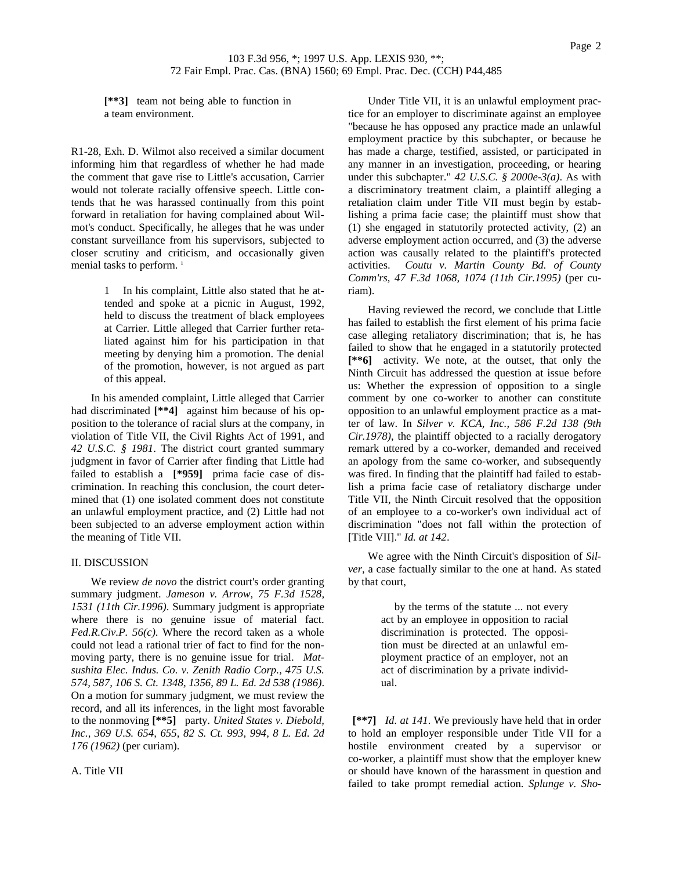**[\*\*3]** team not being able to function in a team environment.

R1-28, Exh. D. Wilmot also received a similar document informing him that regardless of whether he had made the comment that gave rise to Little's accusation, Carrier would not tolerate racially offensive speech. Little contends that he was harassed continually from this point forward in retaliation for having complained about Wilmot's conduct. Specifically, he alleges that he was under constant surveillance from his supervisors, subjected to closer scrutiny and criticism, and occasionally given menial tasks to perform.<sup>1</sup>

> 1 In his complaint, Little also stated that he attended and spoke at a picnic in August, 1992, held to discuss the treatment of black employees at Carrier. Little alleged that Carrier further retaliated against him for his participation in that meeting by denying him a promotion. The denial of the promotion, however, is not argued as part of this appeal.

In his amended complaint, Little alleged that Carrier had discriminated **[\*\*4]** against him because of his opposition to the tolerance of racial slurs at the company, in violation of Title VII, the Civil Rights Act of 1991, and *42 U.S.C. § 1981*. The district court granted summary judgment in favor of Carrier after finding that Little had failed to establish a **[\*959]** prima facie case of discrimination. In reaching this conclusion, the court determined that (1) one isolated comment does not constitute an unlawful employment practice, and (2) Little had not been subjected to an adverse employment action within the meaning of Title VII.

## II. DISCUSSION

We review *de novo* the district court's order granting summary judgment. *Jameson v. Arrow, 75 F.3d 1528, 1531 (11th Cir.1996)*. Summary judgment is appropriate where there is no genuine issue of material fact. *Fed.R.Civ.P. 56(c)*. Where the record taken as a whole could not lead a rational trier of fact to find for the nonmoving party, there is no genuine issue for trial. *Matsushita Elec. Indus. Co. v. Zenith Radio Corp., 475 U.S. 574, 587, 106 S. Ct. 1348, 1356, 89 L. Ed. 2d 538 (1986)*. On a motion for summary judgment, we must review the record, and all its inferences, in the light most favorable to the nonmoving **[\*\*5]** party. *United States v. Diebold, Inc., 369 U.S. 654, 655, 82 S. Ct. 993, 994, 8 L. Ed. 2d 176 (1962)* (per curiam).

A. Title VII

Under Title VII, it is an unlawful employment practice for an employer to discriminate against an employee "because he has opposed any practice made an unlawful employment practice by this subchapter, or because he has made a charge, testified, assisted, or participated in any manner in an investigation, proceeding, or hearing under this subchapter." *42 U.S.C. § 2000e-3(a)*. As with a discriminatory treatment claim, a plaintiff alleging a retaliation claim under Title VII must begin by establishing a prima facie case; the plaintiff must show that (1) she engaged in statutorily protected activity, (2) an adverse employment action occurred, and (3) the adverse action was causally related to the plaintiff's protected activities. *Coutu v. Martin County Bd. of County Comm'rs, 47 F.3d 1068, 1074 (11th Cir.1995)* (per curiam).

Having reviewed the record, we conclude that Little has failed to establish the first element of his prima facie case alleging retaliatory discrimination; that is, he has failed to show that he engaged in a statutorily protected **[\*\*6]** activity. We note, at the outset, that only the Ninth Circuit has addressed the question at issue before us: Whether the expression of opposition to a single comment by one co-worker to another can constitute opposition to an unlawful employment practice as a matter of law. In *Silver v. KCA, Inc., 586 F.2d 138 (9th Cir.1978)*, the plaintiff objected to a racially derogatory remark uttered by a co-worker, demanded and received an apology from the same co-worker, and subsequently was fired. In finding that the plaintiff had failed to establish a prima facie case of retaliatory discharge under Title VII, the Ninth Circuit resolved that the opposition of an employee to a co-worker's own individual act of discrimination "does not fall within the protection of [Title VII]." *Id. at 142*.

We agree with the Ninth Circuit's disposition of *Silver,* a case factually similar to the one at hand. As stated by that court,

> by the terms of the statute ... not every act by an employee in opposition to racial discrimination is protected. The opposition must be directed at an unlawful employment practice of an employer, not an act of discrimination by a private individual.

**[\*\*7]** *Id. at 141*. We previously have held that in order to hold an employer responsible under Title VII for a hostile environment created by a supervisor or co-worker, a plaintiff must show that the employer knew or should have known of the harassment in question and failed to take prompt remedial action. *Splunge v. Sho-*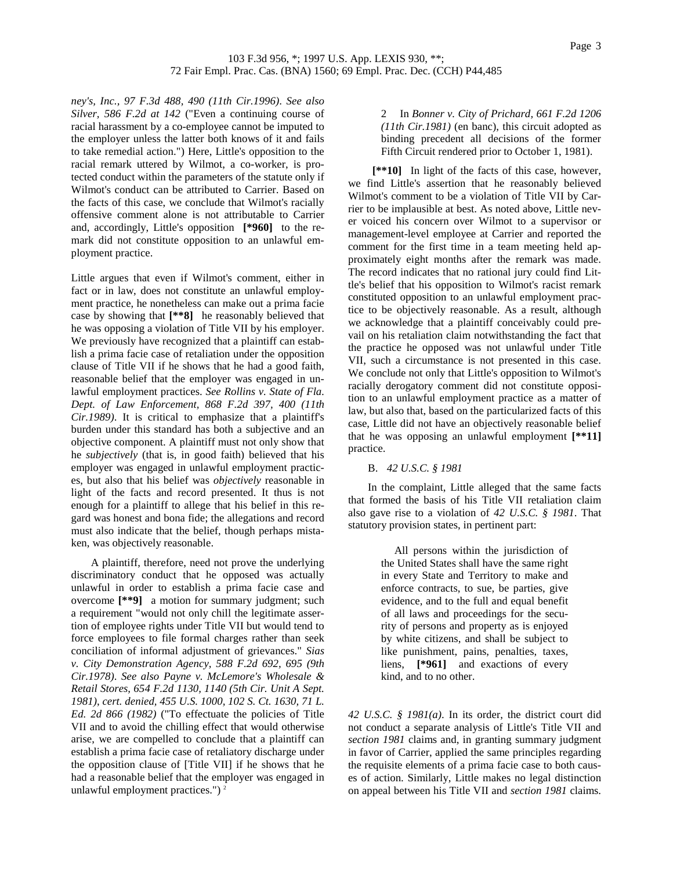*ney's, Inc., 97 F.3d 488, 490 (11th Cir.1996)*. *See also Silver, 586 F.2d at 142* ("Even a continuing course of racial harassment by a co-employee cannot be imputed to the employer unless the latter both knows of it and fails to take remedial action.") Here, Little's opposition to the racial remark uttered by Wilmot, a co-worker, is protected conduct within the parameters of the statute only if Wilmot's conduct can be attributed to Carrier. Based on the facts of this case, we conclude that Wilmot's racially offensive comment alone is not attributable to Carrier and, accordingly, Little's opposition **[\*960]** to the remark did not constitute opposition to an unlawful employment practice.

Little argues that even if Wilmot's comment, either in fact or in law, does not constitute an unlawful employment practice, he nonetheless can make out a prima facie case by showing that **[\*\*8]** he reasonably believed that he was opposing a violation of Title VII by his employer. We previously have recognized that a plaintiff can establish a prima facie case of retaliation under the opposition clause of Title VII if he shows that he had a good faith, reasonable belief that the employer was engaged in unlawful employment practices. *See Rollins v. State of Fla. Dept. of Law Enforcement, 868 F.2d 397, 400 (11th Cir.1989)*. It is critical to emphasize that a plaintiff's burden under this standard has both a subjective and an objective component. A plaintiff must not only show that he *subjectively* (that is, in good faith) believed that his employer was engaged in unlawful employment practices, but also that his belief was *objectively* reasonable in light of the facts and record presented. It thus is not enough for a plaintiff to allege that his belief in this regard was honest and bona fide; the allegations and record must also indicate that the belief, though perhaps mistaken, was objectively reasonable.

A plaintiff, therefore, need not prove the underlying discriminatory conduct that he opposed was actually unlawful in order to establish a prima facie case and overcome **[\*\*9]** a motion for summary judgment; such a requirement "would not only chill the legitimate assertion of employee rights under Title VII but would tend to force employees to file formal charges rather than seek conciliation of informal adjustment of grievances." *Sias v. City Demonstration Agency, 588 F.2d 692, 695 (9th Cir.1978)*. *See also Payne v. McLemore's Wholesale & Retail Stores, 654 F.2d 1130, 1140 (5th Cir. Unit A Sept. 1981)*, *cert. denied, 455 U.S. 1000, 102 S. Ct. 1630, 71 L. Ed. 2d 866 (1982)* ("To effectuate the policies of Title VII and to avoid the chilling effect that would otherwise arise, we are compelled to conclude that a plaintiff can establish a prima facie case of retaliatory discharge under the opposition clause of [Title VII] if he shows that he had a reasonable belief that the employer was engaged in unlawful employment practices.") $2$ 

2 In *Bonner v. City of Prichard, 661 F.2d 1206 (11th Cir.1981)* (en banc), this circuit adopted as binding precedent all decisions of the former Fifth Circuit rendered prior to October 1, 1981).

**[\*\*10]** In light of the facts of this case, however, we find Little's assertion that he reasonably believed Wilmot's comment to be a violation of Title VII by Carrier to be implausible at best. As noted above, Little never voiced his concern over Wilmot to a supervisor or management-level employee at Carrier and reported the comment for the first time in a team meeting held approximately eight months after the remark was made. The record indicates that no rational jury could find Little's belief that his opposition to Wilmot's racist remark constituted opposition to an unlawful employment practice to be objectively reasonable. As a result, although we acknowledge that a plaintiff conceivably could prevail on his retaliation claim notwithstanding the fact that the practice he opposed was not unlawful under Title VII, such a circumstance is not presented in this case. We conclude not only that Little's opposition to Wilmot's racially derogatory comment did not constitute opposition to an unlawful employment practice as a matter of law, but also that, based on the particularized facts of this case, Little did not have an objectively reasonable belief that he was opposing an unlawful employment **[\*\*11]** practice.

B. *42 U.S.C. § 1981*

In the complaint, Little alleged that the same facts that formed the basis of his Title VII retaliation claim also gave rise to a violation of *42 U.S.C. § 1981*. That statutory provision states, in pertinent part:

> All persons within the jurisdiction of the United States shall have the same right in every State and Territory to make and enforce contracts, to sue, be parties, give evidence, and to the full and equal benefit of all laws and proceedings for the security of persons and property as is enjoyed by white citizens, and shall be subject to like punishment, pains, penalties, taxes, liens, **[\*961]** and exactions of every kind, and to no other.

*42 U.S.C. § 1981(a)*. In its order, the district court did not conduct a separate analysis of Little's Title VII and *section 1981* claims and, in granting summary judgment in favor of Carrier, applied the same principles regarding the requisite elements of a prima facie case to both causes of action. Similarly, Little makes no legal distinction on appeal between his Title VII and *section 1981* claims.